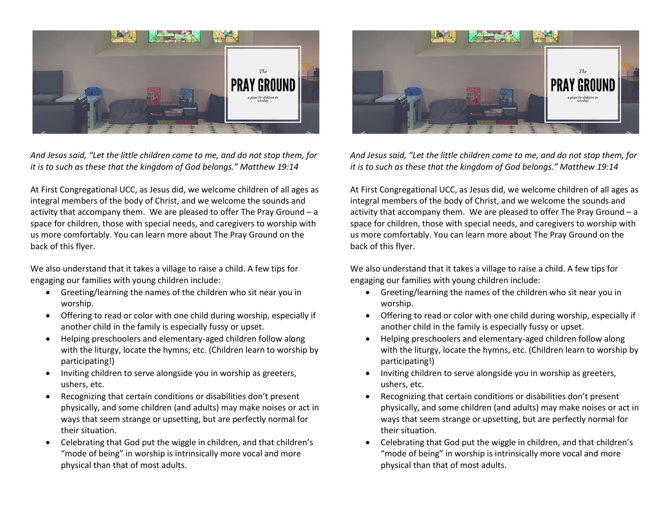

*And Jesus said, "Let the little children come to me, and do not stop them, for it is to such as these that the kingdom of God belongs." Matthew 19:14*

At First Congregational UCC, as Jesus did, we welcome children of all ages as integral members of the body of Christ, and we welcome the sounds and activity that accompany them. We are pleased to offer The Pray Ground – a space for children, those with special needs, and caregivers to worship with us more comfortably. You can learn more about The Pray Ground on the back of this flyer.

We also understand that it takes a village to raise a child. A few tips for engaging our families with young children include:

- Greeting/learning the names of the children who sit near you in worship.
- Offering to read or color with one child during worship, especially if another child in the family is especially fussy or upset.
- Helping preschoolers and elementary-aged children follow along with the liturgy, locate the hymns, etc. (Children learn to worship by participating!)
- Inviting children to serve alongside you in worship as greeters, ushers, etc.
- Recognizing that certain conditions or disabilities don't present physically, and some children (and adults) may make noises or act in ways that seem strange or upsetting, but are perfectly normal for their situation.
- Celebrating that God put the wiggle in children, and that children's "mode of being" in worship is intrinsically more vocal and more physical than that of most adults.



*And Jesus said, "Let the little children come to me, and do not stop them, for it is to such as these that the kingdom of God belongs." Matthew 19:14*

At First Congregational UCC, as Jesus did, we welcome children of all ages as integral members of the body of Christ, and we welcome the sounds and activity that accompany them. We are pleased to offer The Pray Ground – a space for children, those with special needs, and caregivers to worship with us more comfortably. You can learn more about The Pray Ground on the back of this flyer.

We also understand that it takes a village to raise a child. A few tips for engaging our families with young children include:

- Greeting/learning the names of the children who sit near you in worship.
- Offering to read or color with one child during worship, especially if another child in the family is especially fussy or upset.
- Helping preschoolers and elementary-aged children follow along with the liturgy, locate the hymns, etc. (Children learn to worship by participating!)
- Inviting children to serve alongside you in worship as greeters, ushers, etc.
- Recognizing that certain conditions or disabilities don't present physically, and some children (and adults) may make noises or act in ways that seem strange or upsetting, but are perfectly normal for their situation.
- Celebrating that God put the wiggle in children, and that children's "mode of being" in worship is intrinsically more vocal and more physical than that of most adults.